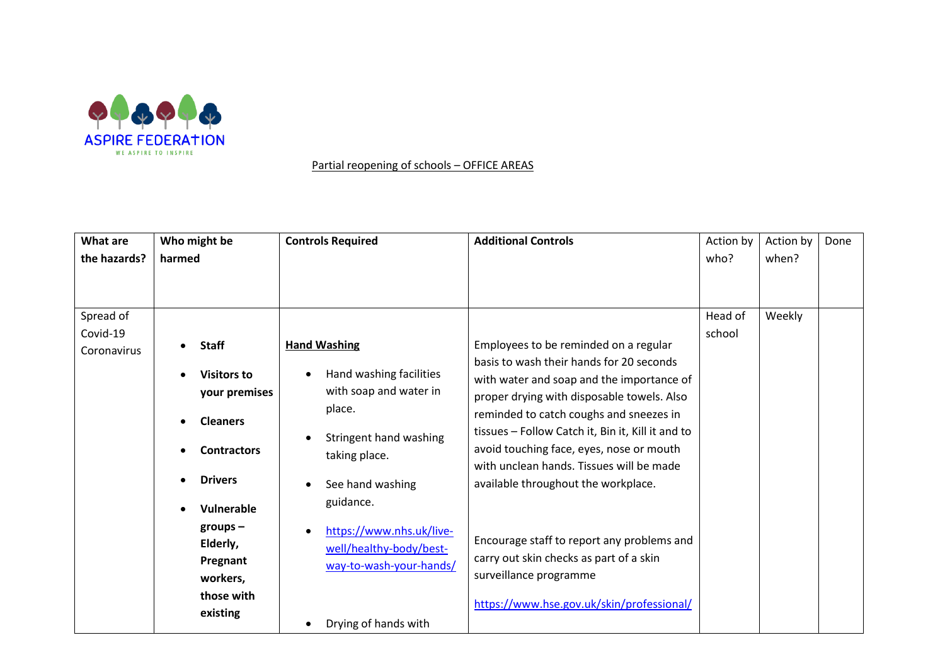

Partial reopening of schools – OFFICE AREAS

| What are     | Who might be       | <b>Controls Required</b> | <b>Additional Controls</b>                        | Action by | Action by | Done |
|--------------|--------------------|--------------------------|---------------------------------------------------|-----------|-----------|------|
| the hazards? | harmed             |                          |                                                   | who?      | when?     |      |
|              |                    |                          |                                                   |           |           |      |
|              |                    |                          |                                                   |           |           |      |
| Spread of    |                    |                          |                                                   | Head of   | Weekly    |      |
| Covid-19     |                    |                          |                                                   | school    |           |      |
| Coronavirus  | <b>Staff</b>       | <b>Hand Washing</b>      | Employees to be reminded on a regular             |           |           |      |
|              | <b>Visitors to</b> | Hand washing facilities  | basis to wash their hands for 20 seconds          |           |           |      |
|              | your premises      | with soap and water in   | with water and soap and the importance of         |           |           |      |
|              |                    | place.                   | proper drying with disposable towels. Also        |           |           |      |
|              | <b>Cleaners</b>    |                          | reminded to catch coughs and sneezes in           |           |           |      |
|              |                    | Stringent hand washing   | tissues - Follow Catch it, Bin it, Kill it and to |           |           |      |
|              | <b>Contractors</b> | taking place.            | avoid touching face, eyes, nose or mouth          |           |           |      |
|              |                    |                          | with unclean hands. Tissues will be made          |           |           |      |
|              | <b>Drivers</b>     | See hand washing         | available throughout the workplace.               |           |           |      |
|              | Vulnerable         | guidance.                |                                                   |           |           |      |
|              | $groups -$         |                          |                                                   |           |           |      |
|              | Elderly,           | https://www.nhs.uk/live- | Encourage staff to report any problems and        |           |           |      |
|              | Pregnant           | well/healthy-body/best-  | carry out skin checks as part of a skin           |           |           |      |
|              |                    | way-to-wash-your-hands/  | surveillance programme                            |           |           |      |
|              | workers,           |                          |                                                   |           |           |      |
|              | those with         |                          | https://www.hse.gov.uk/skin/professional/         |           |           |      |
|              | existing           | Drying of hands with     |                                                   |           |           |      |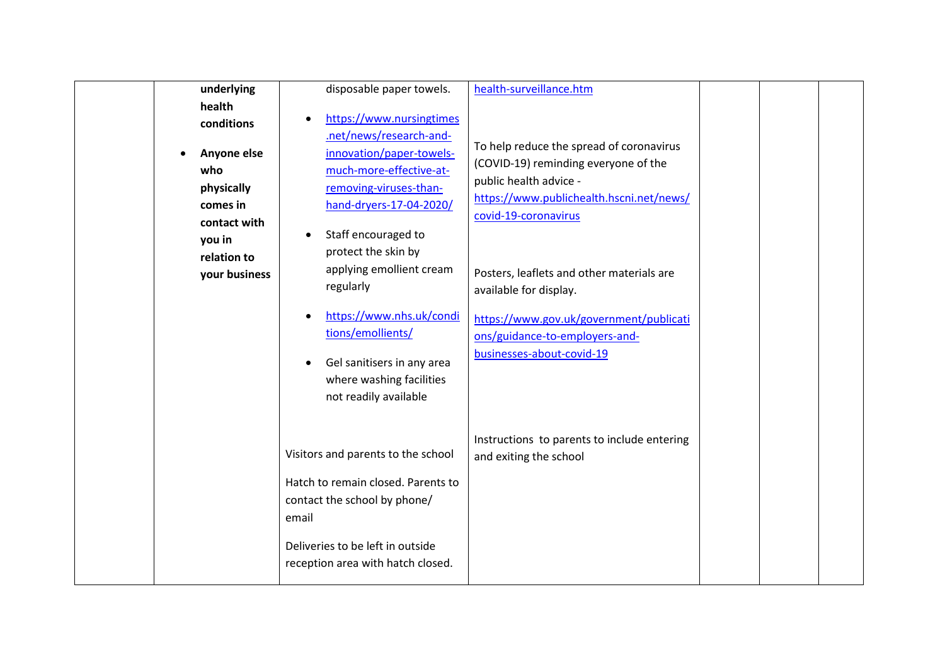| underlying                                                                                                                     | disposable paper towels.                                                                                                                                                                                                                                                                                                                                                                   | health-surveillance.htm                                                                                                                                                                                                                                                                                                                                         |  |
|--------------------------------------------------------------------------------------------------------------------------------|--------------------------------------------------------------------------------------------------------------------------------------------------------------------------------------------------------------------------------------------------------------------------------------------------------------------------------------------------------------------------------------------|-----------------------------------------------------------------------------------------------------------------------------------------------------------------------------------------------------------------------------------------------------------------------------------------------------------------------------------------------------------------|--|
| health<br>conditions<br>Anyone else<br>who<br>physically<br>comes in<br>contact with<br>you in<br>relation to<br>your business | https://www.nursingtimes<br>.net/news/research-and-<br>innovation/paper-towels-<br>much-more-effective-at-<br>removing-viruses-than-<br>hand-dryers-17-04-2020/<br>Staff encouraged to<br>protect the skin by<br>applying emollient cream<br>regularly<br>https://www.nhs.uk/condi<br>tions/emollients/<br>Gel sanitisers in any area<br>where washing facilities<br>not readily available | To help reduce the spread of coronavirus<br>(COVID-19) reminding everyone of the<br>public health advice -<br>https://www.publichealth.hscni.net/news/<br>covid-19-coronavirus<br>Posters, leaflets and other materials are<br>available for display.<br>https://www.gov.uk/government/publicati<br>ons/guidance-to-employers-and-<br>businesses-about-covid-19 |  |
|                                                                                                                                | Visitors and parents to the school<br>Hatch to remain closed. Parents to<br>contact the school by phone/<br>email<br>Deliveries to be left in outside<br>reception area with hatch closed.                                                                                                                                                                                                 | Instructions to parents to include entering<br>and exiting the school                                                                                                                                                                                                                                                                                           |  |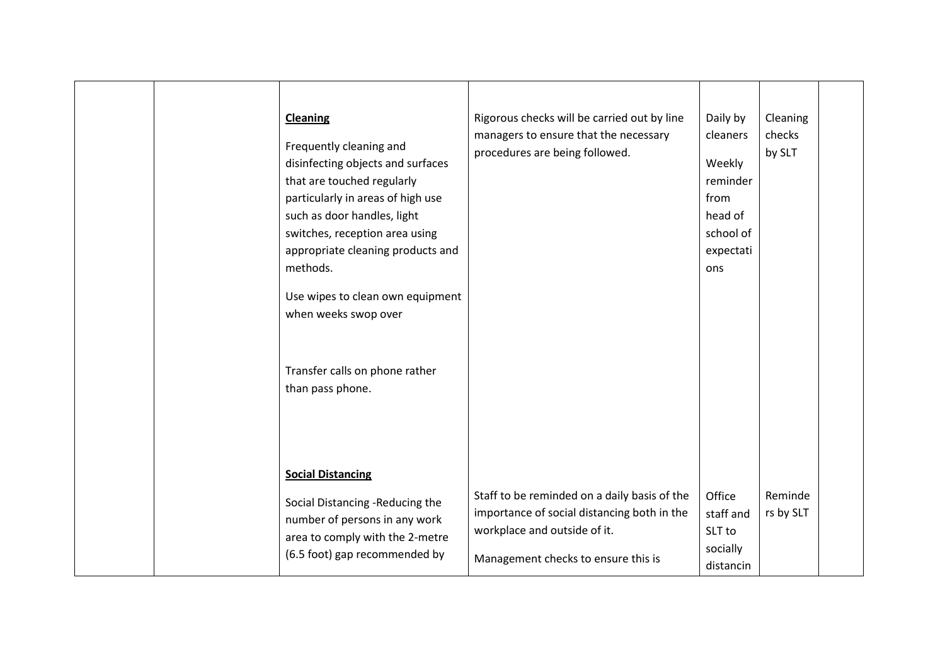| <b>Cleaning</b><br>Frequently cleaning and<br>disinfecting objects and surfaces<br>that are touched regularly<br>particularly in areas of high use<br>such as door handles, light<br>switches, reception area using<br>appropriate cleaning products and<br>methods.<br>Use wipes to clean own equipment<br>when weeks swop over<br>Transfer calls on phone rather<br>than pass phone.<br><b>Social Distancing</b> | Rigorous checks will be carried out by line<br>managers to ensure that the necessary<br>procedures are being followed.                                             | Daily by<br>cleaners<br>Weekly<br>reminder<br>from<br>head of<br>school of<br>expectati<br>ons | Cleaning<br>checks<br>by SLT |  |
|--------------------------------------------------------------------------------------------------------------------------------------------------------------------------------------------------------------------------------------------------------------------------------------------------------------------------------------------------------------------------------------------------------------------|--------------------------------------------------------------------------------------------------------------------------------------------------------------------|------------------------------------------------------------------------------------------------|------------------------------|--|
| Social Distancing -Reducing the<br>number of persons in any work<br>area to comply with the 2-metre<br>(6.5 foot) gap recommended by                                                                                                                                                                                                                                                                               | Staff to be reminded on a daily basis of the<br>importance of social distancing both in the<br>workplace and outside of it.<br>Management checks to ensure this is | Office<br>staff and<br>SLT to<br>socially<br>distancin                                         | Reminde<br>rs by SLT         |  |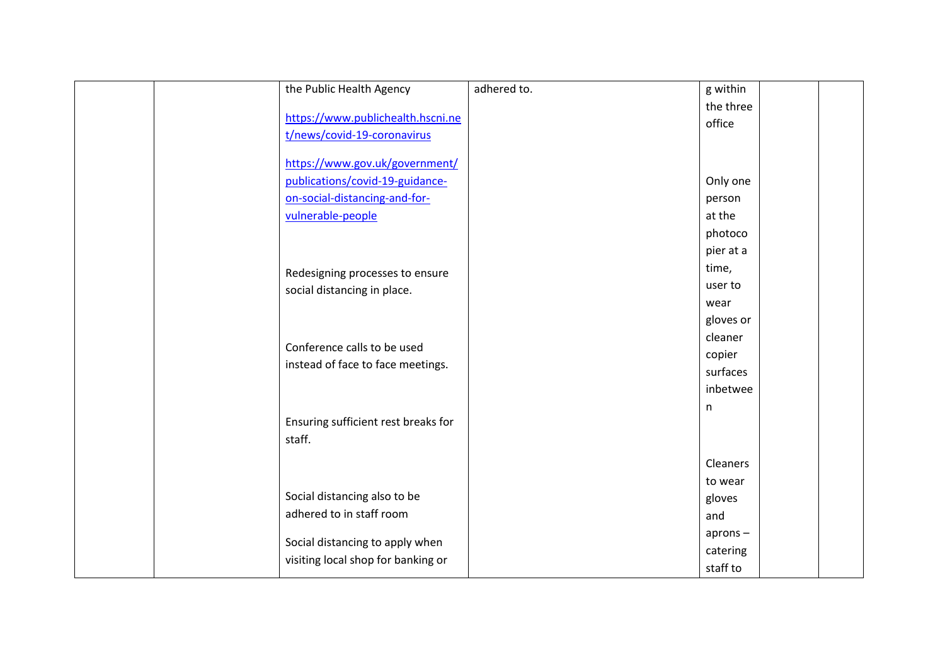| the Public Health Agency            | adhered to. | g within  |
|-------------------------------------|-------------|-----------|
|                                     |             | the three |
| https://www.publichealth.hscni.ne   |             | office    |
| t/news/covid-19-coronavirus         |             |           |
| https://www.gov.uk/government/      |             |           |
| publications/covid-19-guidance-     |             | Only one  |
| on-social-distancing-and-for-       |             | person    |
| vulnerable-people                   |             | at the    |
|                                     |             | photoco   |
|                                     |             | pier at a |
| Redesigning processes to ensure     |             | time,     |
| social distancing in place.         |             | user to   |
|                                     |             | wear      |
|                                     |             | gloves or |
|                                     |             | cleaner   |
| Conference calls to be used         |             | copier    |
| instead of face to face meetings.   |             | surfaces  |
|                                     |             | inbetwee  |
|                                     |             | n         |
| Ensuring sufficient rest breaks for |             |           |
| staff.                              |             |           |
|                                     |             | Cleaners  |
|                                     |             | to wear   |
| Social distancing also to be        |             | gloves    |
| adhered to in staff room            |             | and       |
|                                     |             | aprons-   |
| Social distancing to apply when     |             | catering  |
| visiting local shop for banking or  |             | staff to  |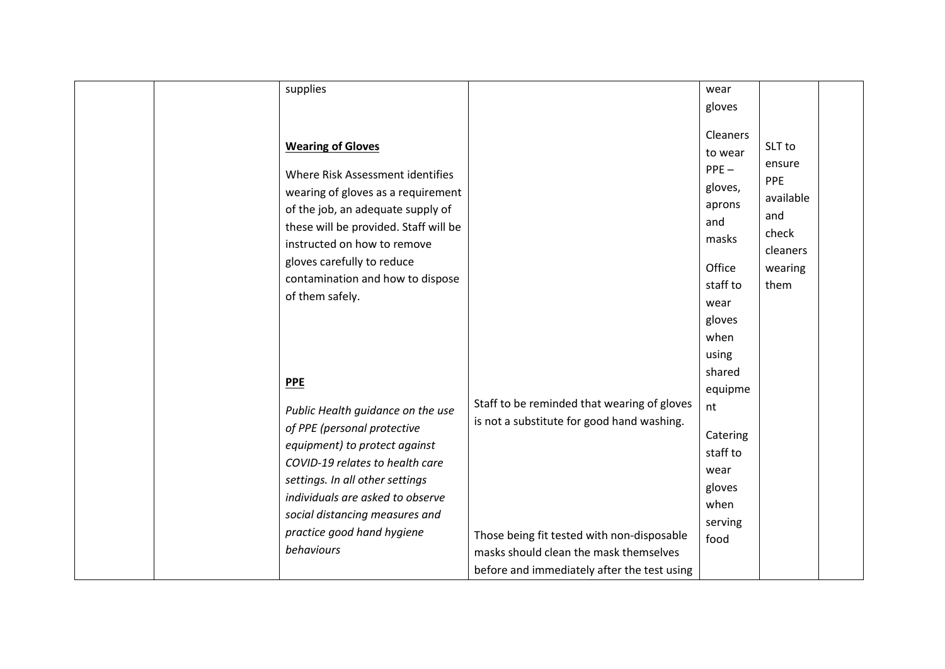|  | supplies                                                                                                                                                                                                                                                                                                                                                |                                                                                                                                                                                   | wear                                                                                                                                                    |                                                                                            |  |
|--|---------------------------------------------------------------------------------------------------------------------------------------------------------------------------------------------------------------------------------------------------------------------------------------------------------------------------------------------------------|-----------------------------------------------------------------------------------------------------------------------------------------------------------------------------------|---------------------------------------------------------------------------------------------------------------------------------------------------------|--------------------------------------------------------------------------------------------|--|
|  |                                                                                                                                                                                                                                                                                                                                                         |                                                                                                                                                                                   | gloves                                                                                                                                                  |                                                                                            |  |
|  | <b>Wearing of Gloves</b><br>Where Risk Assessment identifies<br>wearing of gloves as a requirement<br>of the job, an adequate supply of<br>these will be provided. Staff will be<br>instructed on how to remove<br>gloves carefully to reduce<br>contamination and how to dispose<br>of them safely.<br><b>PPE</b><br>Public Health guidance on the use | Staff to be reminded that wearing of gloves                                                                                                                                       | Cleaners<br>to wear<br>$PPE -$<br>gloves,<br>aprons<br>and<br>masks<br>Office<br>staff to<br>wear<br>gloves<br>when<br>using<br>shared<br>equipme<br>nt | SLT to<br>ensure<br><b>PPE</b><br>available<br>and<br>check<br>cleaners<br>wearing<br>them |  |
|  | of PPE (personal protective<br>equipment) to protect against<br>COVID-19 relates to health care<br>settings. In all other settings<br>individuals are asked to observe<br>social distancing measures and<br>practice good hand hygiene<br>behaviours                                                                                                    | is not a substitute for good hand washing.<br>Those being fit tested with non-disposable<br>masks should clean the mask themselves<br>before and immediately after the test using | Catering<br>staff to<br>wear<br>gloves<br>when<br>serving<br>food                                                                                       |                                                                                            |  |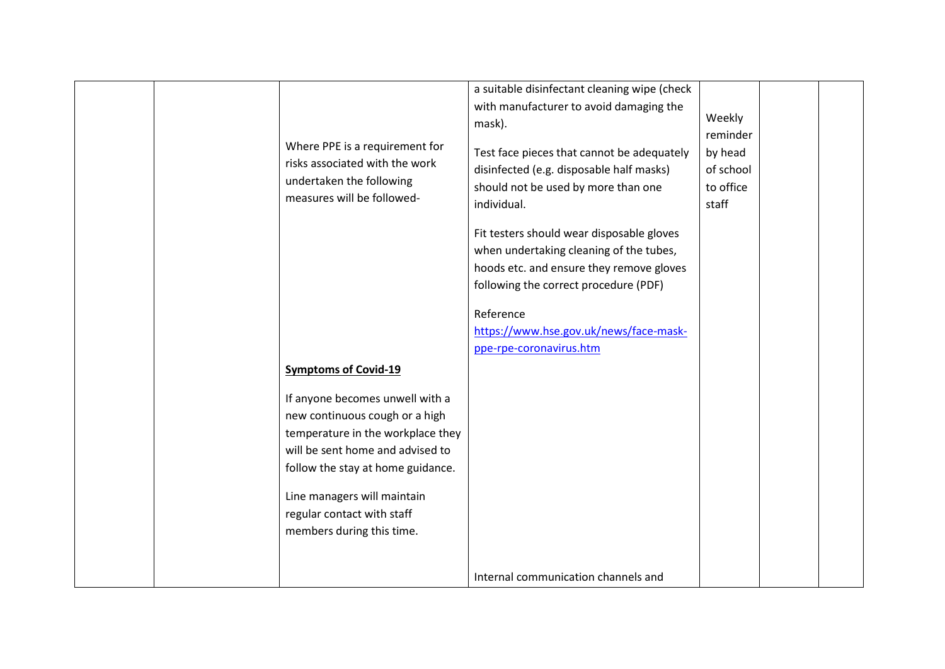| Where PPE is a requirement for<br>risks associated with the work<br>undertaken the following<br>measures will be followed-                                                                                                                                                                               | a suitable disinfectant cleaning wipe (check<br>with manufacturer to avoid damaging the<br>mask).<br>Test face pieces that cannot be adequately<br>disinfected (e.g. disposable half masks)<br>should not be used by more than one<br>individual.<br>Fit testers should wear disposable gloves<br>when undertaking cleaning of the tubes,<br>hoods etc. and ensure they remove gloves<br>following the correct procedure (PDF)<br>Reference<br>https://www.hse.gov.uk/news/face-mask-<br>ppe-rpe-coronavirus.htm | Weekly<br>reminder<br>by head<br>of school<br>to office<br>staff |  |
|----------------------------------------------------------------------------------------------------------------------------------------------------------------------------------------------------------------------------------------------------------------------------------------------------------|------------------------------------------------------------------------------------------------------------------------------------------------------------------------------------------------------------------------------------------------------------------------------------------------------------------------------------------------------------------------------------------------------------------------------------------------------------------------------------------------------------------|------------------------------------------------------------------|--|
| <b>Symptoms of Covid-19</b><br>If anyone becomes unwell with a<br>new continuous cough or a high<br>temperature in the workplace they<br>will be sent home and advised to<br>follow the stay at home guidance.<br>Line managers will maintain<br>regular contact with staff<br>members during this time. |                                                                                                                                                                                                                                                                                                                                                                                                                                                                                                                  |                                                                  |  |
|                                                                                                                                                                                                                                                                                                          | Internal communication channels and                                                                                                                                                                                                                                                                                                                                                                                                                                                                              |                                                                  |  |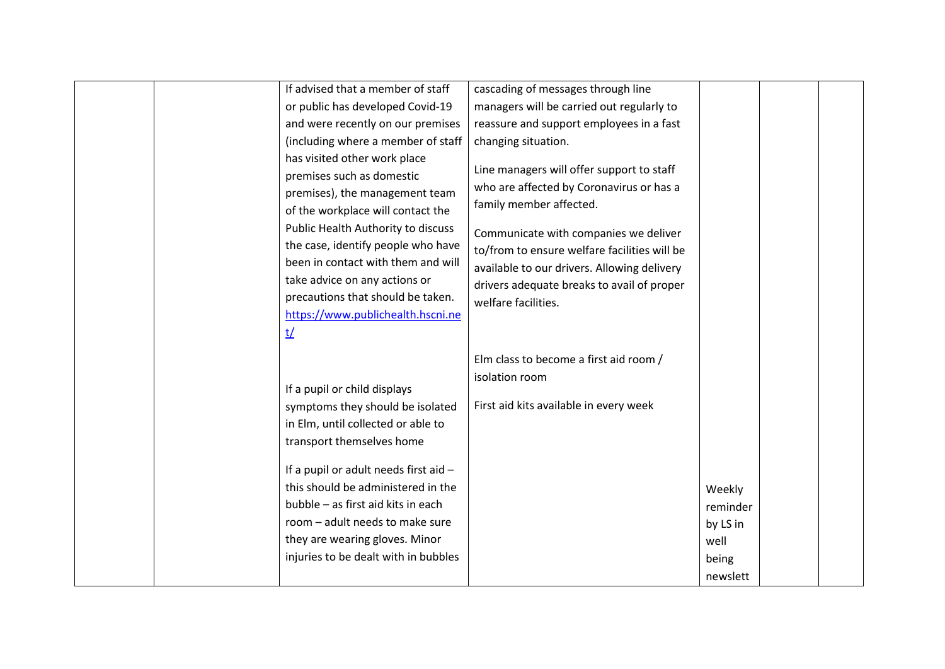|  | If advised that a member of staff                                                                                                                                                                                                                                                                                                                                          | cascading of messages through line                                                                                                                                                                                                                                                                                            |                                                             |  |
|--|----------------------------------------------------------------------------------------------------------------------------------------------------------------------------------------------------------------------------------------------------------------------------------------------------------------------------------------------------------------------------|-------------------------------------------------------------------------------------------------------------------------------------------------------------------------------------------------------------------------------------------------------------------------------------------------------------------------------|-------------------------------------------------------------|--|
|  | or public has developed Covid-19                                                                                                                                                                                                                                                                                                                                           | managers will be carried out regularly to                                                                                                                                                                                                                                                                                     |                                                             |  |
|  | and were recently on our premises                                                                                                                                                                                                                                                                                                                                          | reassure and support employees in a fast                                                                                                                                                                                                                                                                                      |                                                             |  |
|  | (including where a member of staff                                                                                                                                                                                                                                                                                                                                         | changing situation.                                                                                                                                                                                                                                                                                                           |                                                             |  |
|  | has visited other work place<br>premises such as domestic<br>premises), the management team<br>of the workplace will contact the<br>Public Health Authority to discuss<br>the case, identify people who have<br>been in contact with them and will<br>take advice on any actions or<br>precautions that should be taken.<br>https://www.publichealth.hscni.ne<br><u>t/</u> | Line managers will offer support to staff<br>who are affected by Coronavirus or has a<br>family member affected.<br>Communicate with companies we deliver<br>to/from to ensure welfare facilities will be<br>available to our drivers. Allowing delivery<br>drivers adequate breaks to avail of proper<br>welfare facilities. |                                                             |  |
|  | If a pupil or child displays<br>symptoms they should be isolated<br>in Elm, until collected or able to<br>transport themselves home<br>If a pupil or adult needs first aid -<br>this should be administered in the<br>bubble - as first aid kits in each<br>room - adult needs to make sure<br>they are wearing gloves. Minor<br>injuries to be dealt with in bubbles      | Elm class to become a first aid room /<br>isolation room<br>First aid kits available in every week                                                                                                                                                                                                                            | Weekly<br>reminder<br>by LS in<br>well<br>being<br>newslett |  |